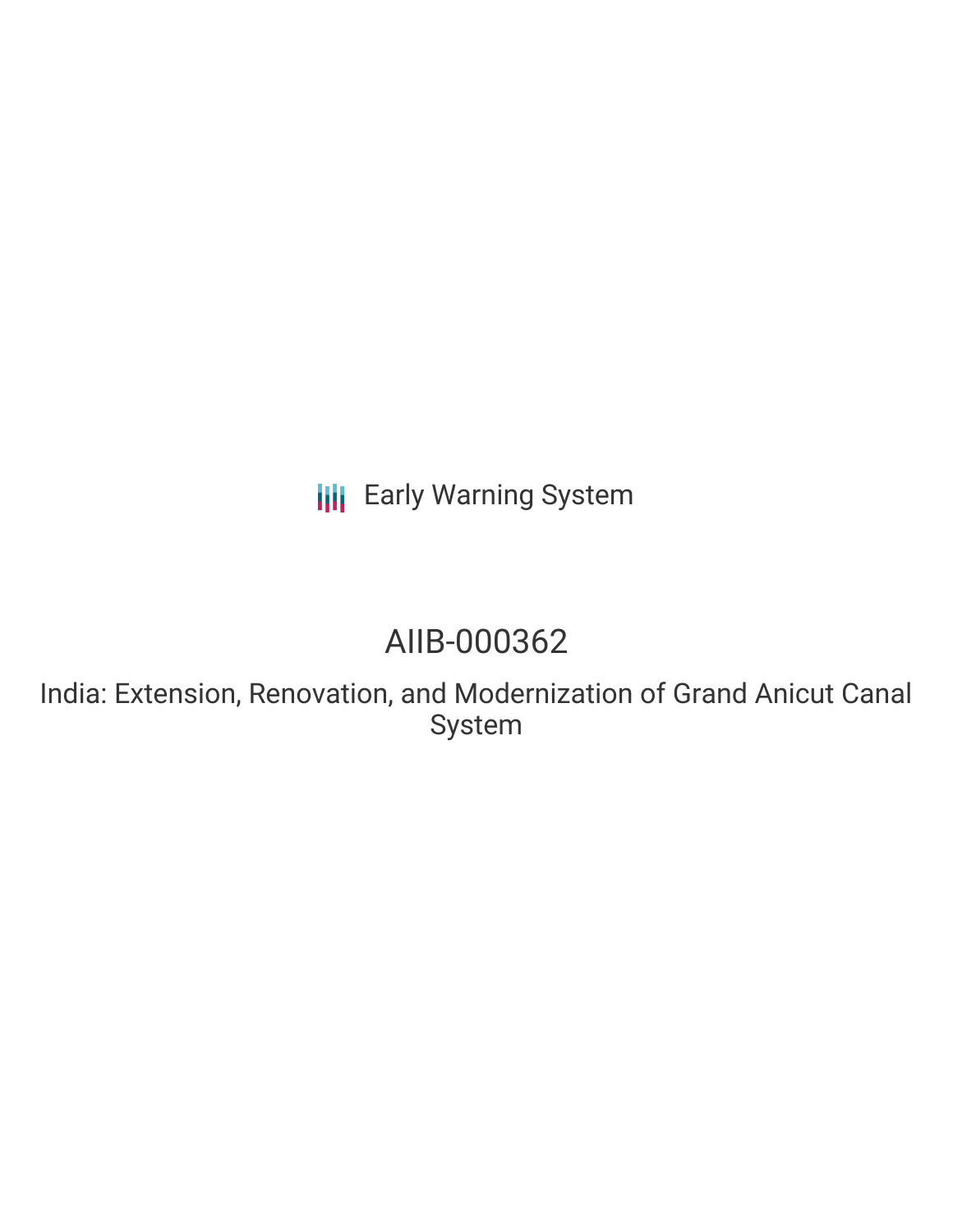## **III** Early Warning System

# AIIB-000362

India: Extension, Renovation, and Modernization of Grand Anicut Canal System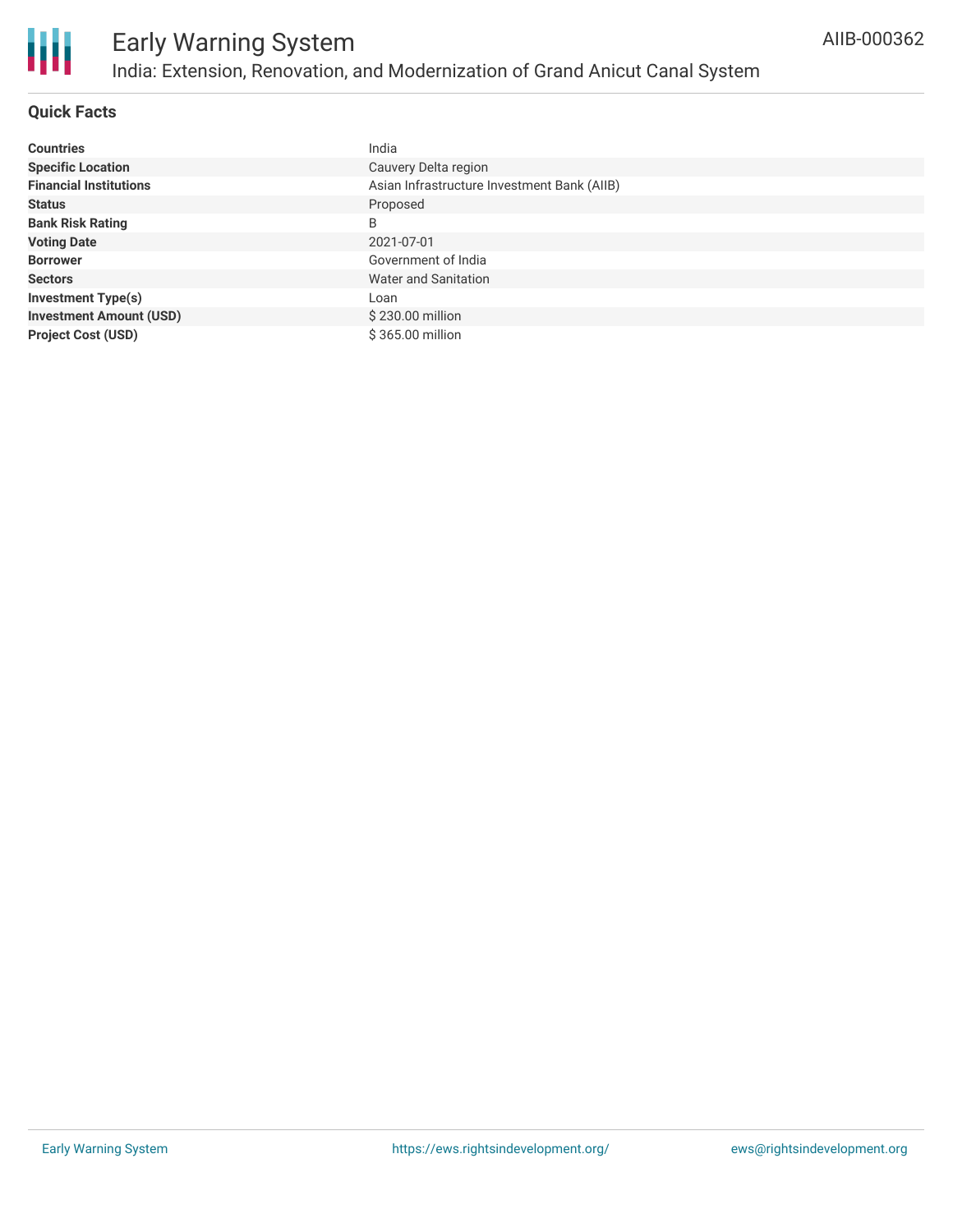

#### **Quick Facts**

| <b>Countries</b>               | India                                       |
|--------------------------------|---------------------------------------------|
| <b>Specific Location</b>       | Cauvery Delta region                        |
| <b>Financial Institutions</b>  | Asian Infrastructure Investment Bank (AIIB) |
| <b>Status</b>                  | Proposed                                    |
| <b>Bank Risk Rating</b>        | B                                           |
| <b>Voting Date</b>             | 2021-07-01                                  |
| <b>Borrower</b>                | Government of India                         |
| <b>Sectors</b>                 | Water and Sanitation                        |
| <b>Investment Type(s)</b>      | Loan                                        |
| <b>Investment Amount (USD)</b> | \$230.00 million                            |
| <b>Project Cost (USD)</b>      | \$365.00 million                            |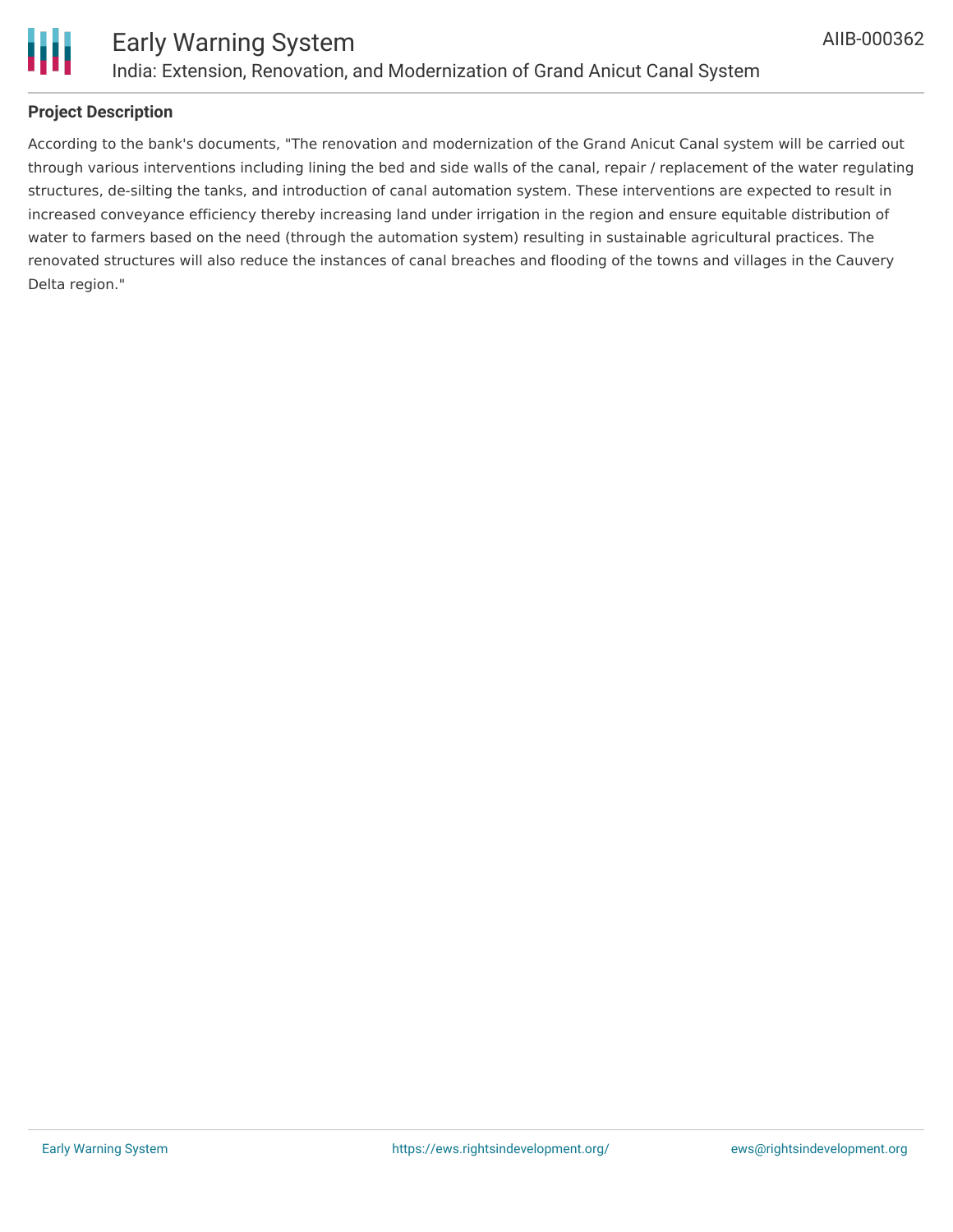

### **Project Description**

According to the bank's documents, "The renovation and modernization of the Grand Anicut Canal system will be carried out through various interventions including lining the bed and side walls of the canal, repair / replacement of the water regulating structures, de-silting the tanks, and introduction of canal automation system. These interventions are expected to result in increased conveyance efficiency thereby increasing land under irrigation in the region and ensure equitable distribution of water to farmers based on the need (through the automation system) resulting in sustainable agricultural practices. The renovated structures will also reduce the instances of canal breaches and flooding of the towns and villages in the Cauvery Delta region."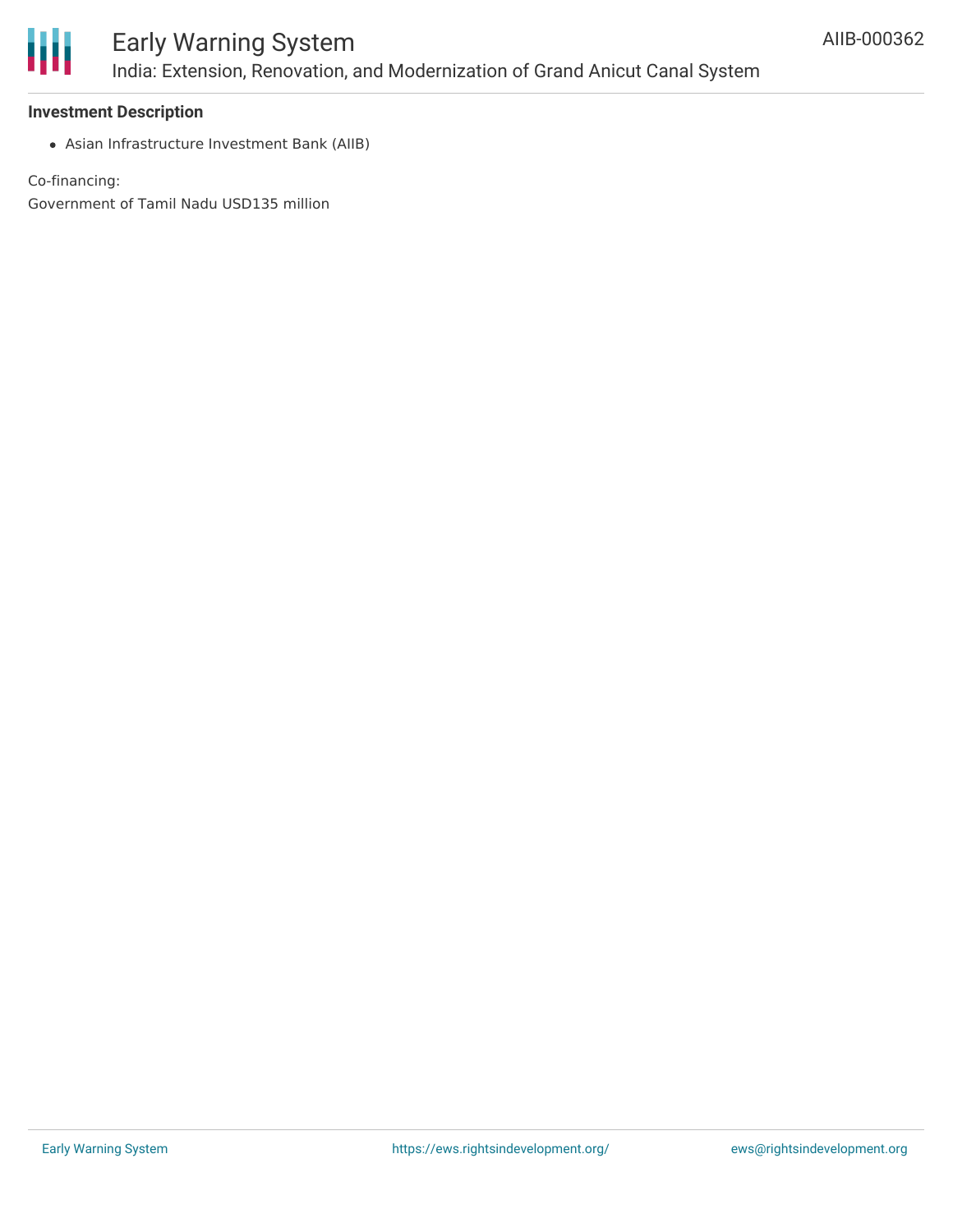

#### **Investment Description**

Asian Infrastructure Investment Bank (AIIB)

Co-financing:

Government of Tamil Nadu USD135 million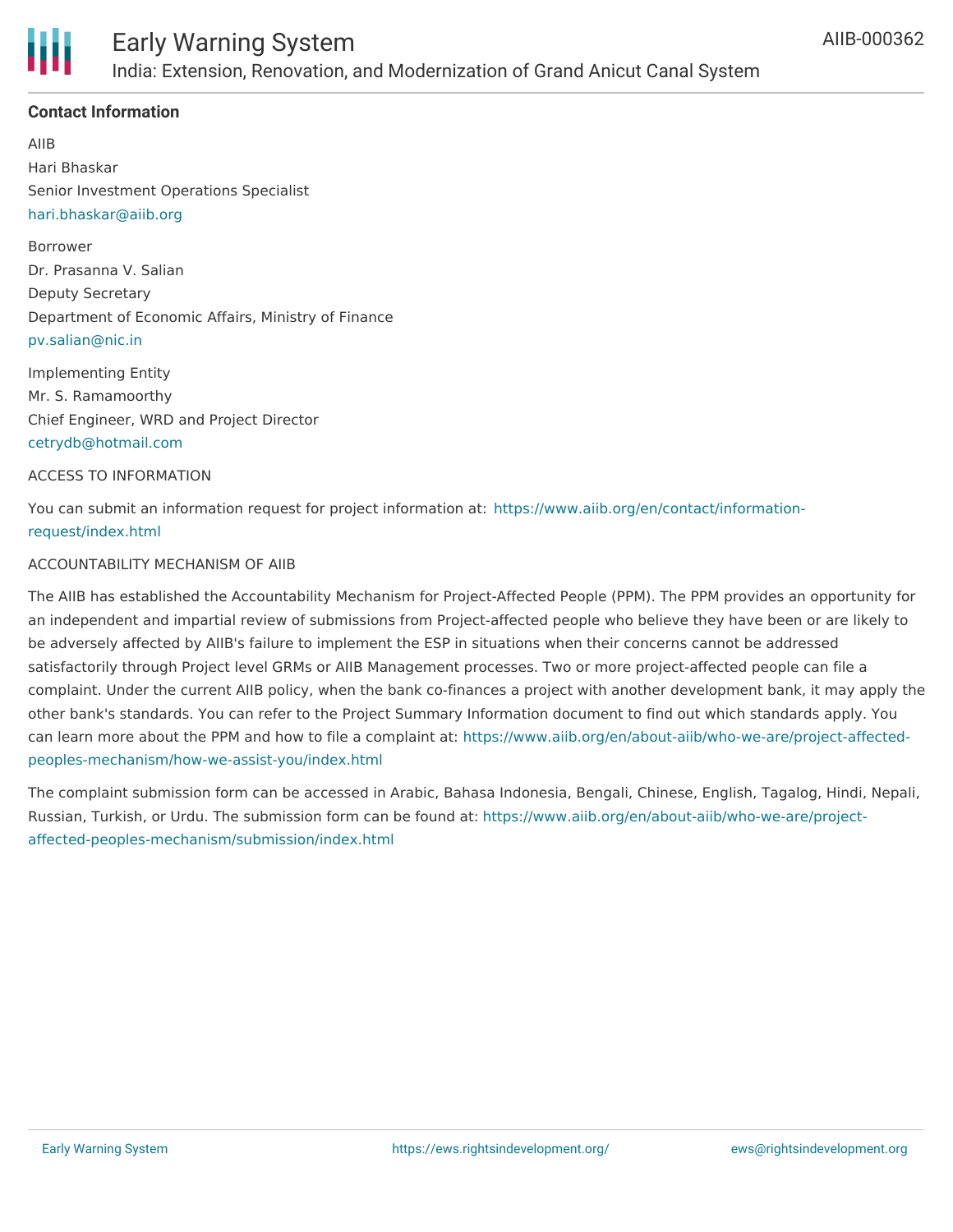

### **Contact Information**

AIIB Hari Bhaskar Senior Investment Operations Specialist [hari.bhaskar@aiib.org](mailto:hari.bhaskar@aiib.org)

Borrower Dr. Prasanna V. Salian Deputy Secretary Department of Economic Affairs, Ministry of Finance [pv.salian@nic.in](mailto:pv.salian@nic.in)

Implementing Entity Mr. S. Ramamoorthy Chief Engineer, WRD and Project Director [cetrydb@hotmail.com](mailto:cetrydb@hotmail.com)

#### ACCESS TO INFORMATION

You can submit an information request for project information at: [https://www.aiib.org/en/contact/information](https://www.aiib.org/en/contact/information-request/index.html)request/index.html

#### ACCOUNTABILITY MECHANISM OF AIIB

The AIIB has established the Accountability Mechanism for Project-Affected People (PPM). The PPM provides an opportunity for an independent and impartial review of submissions from Project-affected people who believe they have been or are likely to be adversely affected by AIIB's failure to implement the ESP in situations when their concerns cannot be addressed satisfactorily through Project level GRMs or AIIB Management processes. Two or more project-affected people can file a complaint. Under the current AIIB policy, when the bank co-finances a project with another development bank, it may apply the other bank's standards. You can refer to the Project Summary Information document to find out which standards apply. You can learn more about the PPM and how to file a complaint at: [https://www.aiib.org/en/about-aiib/who-we-are/project-affected](https://www.aiib.org/en/about-aiib/who-we-are/project-affected-peoples-mechanism/how-we-assist-you/index.html)peoples-mechanism/how-we-assist-you/index.html

The complaint submission form can be accessed in Arabic, Bahasa Indonesia, Bengali, Chinese, English, Tagalog, Hindi, Nepali, Russian, Turkish, or Urdu. The submission form can be found at: [https://www.aiib.org/en/about-aiib/who-we-are/project](https://www.aiib.org/en/about-aiib/who-we-are/project-affected-peoples-mechanism/submission/index.html)affected-peoples-mechanism/submission/index.html